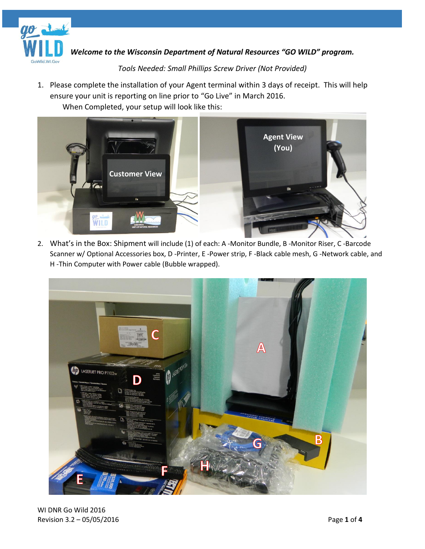

*Welcome to the Wisconsin Department of Natural Resources "GO WILD" program.*

## *Tools Needed: Small Phillips Screw Driver (Not Provided)*

1. Please complete the installation of your Agent terminal within 3 days of receipt. This will help ensure your unit is reporting on line prior to "Go Live" in March 2016. When Completed, your setup will look like this:



2. What's in the Box: Shipment will include (1) of each: A -Monitor Bundle, B -Monitor Riser, C -Barcode Scanner w/ Optional Accessories box, D -Printer, E -Power strip, F -Black cable mesh, G -Network cable, and H -Thin Computer with Power cable (Bubble wrapped).

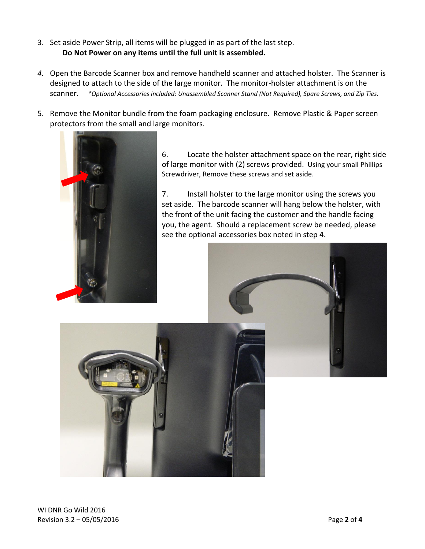- 3. Set aside Power Strip, all items will be plugged in as part of the last step. **Do Not Power on any items until the full unit is assembled.**
- *4.* Open the Barcode Scanner box and remove handheld scanner and attached holster. The Scanner is designed to attach to the side of the large monitor. The monitor-holster attachment is on the scanner. *\*Optional Accessories included: Unassembled Scanner Stand (Not Required), Spare Screws, and Zip Ties.*
- 5. Remove the Monitor bundle from the foam packaging enclosure. Remove Plastic & Paper screen protectors from the small and large monitors.



6. Locate the holster attachment space on the rear, right side of large monitor with (2) screws provided. Using your small Phillips Screwdriver, Remove these screws and set aside.

7. Install holster to the large monitor using the screws you set aside. The barcode scanner will hang below the holster, with the front of the unit facing the customer and the handle facing you, the agent. Should a replacement screw be needed, please see the optional accessories box noted in step 4.

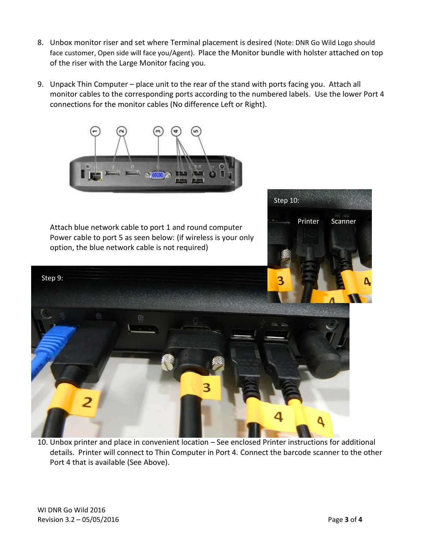- 8. Unbox monitor riser and set where Terminal placement is desired (Note: DNR Go Wild Logo should face customer, Open side will face you/Agent). Place the Monitor bundle with holster attached on top of the riser with the Large Monitor facing you.
- 9. Unpack Thin Computer place unit to the rear of the stand with ports facing you. Attach all monitor cables to the corresponding ports according to the numbered labels. Use the lower Port 4 connections for the monitor cables (No difference Left or Right).



Attach blue network cable to port 1 and round computer Power cable to port 5 as seen below: (if wireless is your only option, the blue network cable is not required)



10. Unbox printer and place in convenient location – See enclosed Printer instructions for additional details. Printer will connect to Thin Computer in Port 4. Connect the barcode scanner to the other Port 4 that is available (See Above).

Printer Scanner

Step 10: